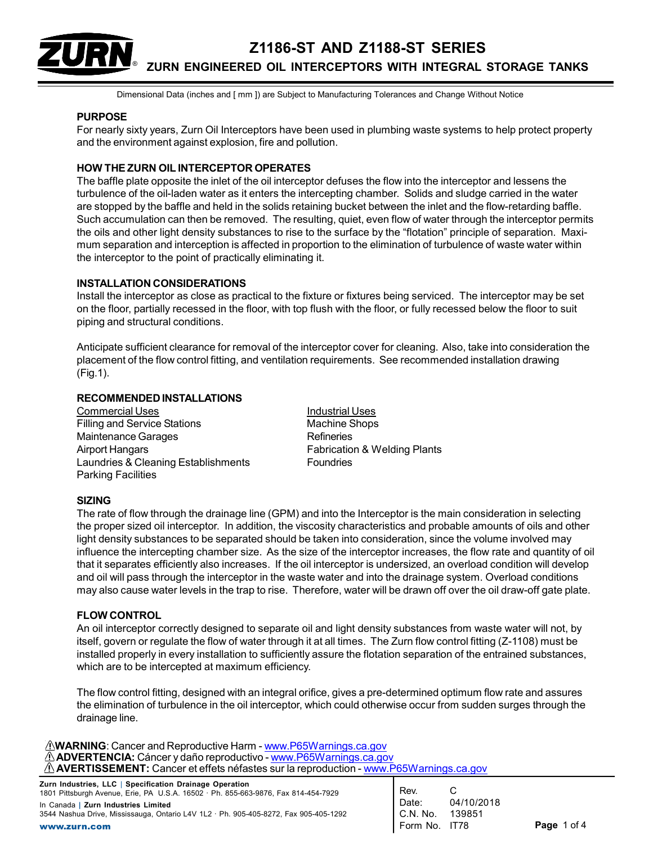

Dimensional Data (inches and [ mm ]) are Subject to Manufacturing Tolerances and Change Without Notice

### PURPOSE

For nearly sixty years, Zurn Oil Interceptors have been used in plumbing waste systems to help protect property and the environment against explosion, fire and pollution.

#### HOW THE ZURN OIL INTERCEPTOR OPERATES

The baffle plate opposite the inlet of the oil interceptor defuses the flow into the interceptor and lessens the turbulence of the oil-laden water as it enters the intercepting chamber. Solids and sludge carried in the water are stopped by the baffle and held in the solids retaining bucket between the inlet and the flow-retarding baffle. Such accumulation can then be removed. The resulting, quiet, even flow of water through the interceptor permits the oils and other light density substances to rise to the surface by the "flotation" principle of separation. Maximum separation and interception is affected in proportion to the elimination of turbulence of waste water within the interceptor to the point of practically eliminating it.

#### INSTALLATION CONSIDERATIONS

Install the interceptor as close as practical to the fixture or fixtures being serviced. The interceptor may be set on the floor, partially recessed in the floor, with top flush with the floor, or fully recessed below the floor to suit piping and structural conditions.

Anticipate sufficient clearance for removal of the interceptor cover for cleaning. Also, take into consideration the placement of the flow control fitting, and ventilation requirements. See recommended installation drawing (Fig.1).

### RECOMMENDED INSTALLATIONS

Commercial Uses **Industrial Uses** Industrial Uses Filling and Service Stations Machine Shops Maintenance Garages **Refineries** Airport Hangars **Fabrication & Welding Plants** Laundries & Cleaning Establishments Foundries Parking Facilities

#### SIZING

The rate of flow through the drainage line (GPM) and into the Interceptor is the main consideration in selecting the proper sized oil interceptor. In addition, the viscosity characteristics and probable amounts of oils and other light density substances to be separated should be taken into consideration, since the volume involved may influence the intercepting chamber size. As the size of the interceptor increases, the flow rate and quantity of oil that it separates efficiently also increases. If the oil interceptor is undersized, an overload condition will develop and oil will pass through the interceptor in the waste water and into the drainage system. Overload conditions may also cause water levels in the trap to rise. Therefore, water will be drawn off over the oil draw-off gate plate.

#### FLOW CONTROL

An oil interceptor correctly designed to separate oil and light density substances from waste water will not, by itself, govern or regulate the flow of water through it at all times. The Zurn flow control fitting (Z-1108) must be installed properly in every installation to sufficiently assure the flotation separation of the entrained substances, which are to be intercepted at maximum efficiency.

The flow control fitting, designed with an integral orifice, gives a pre-determined optimum flow rate and assures the elimination of turbulence in the oil interceptor, which could otherwise occur from sudden surges through the drainage line.

MARNING: Cancer and Reproductive Harm - www.P65Warnings.ca.gov ADVERTENCIA: Cáncer y daño reproductivo - www.P65Warnings.ca.gov AVERTISSEMENT: Cancer et effets néfastes sur la reproduction - www.P65Warnings.ca.gov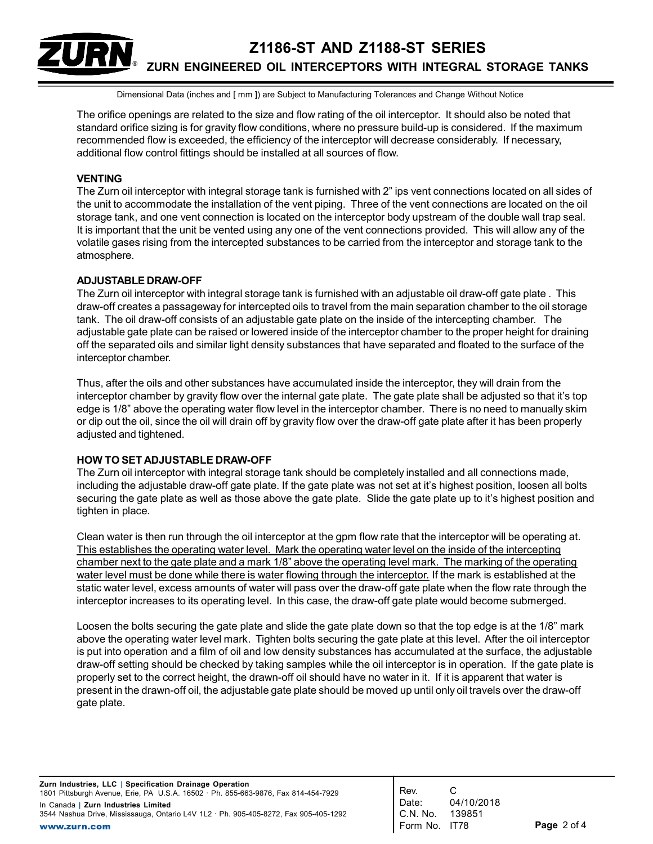# Z1186-ST AND Z1188-ST SERIES ZURN ENGINEERED OIL INTERCEPTORS WITH INTEGRAL STORAGE TANKS ®

Dimensional Data (inches and [ mm ]) are Subject to Manufacturing Tolerances and Change Without Notice

The orifice openings are related to the size and flow rating of the oil interceptor. It should also be noted that standard orifice sizing is for gravity flow conditions, where no pressure build-up is considered. If the maximum recommended flow is exceeded, the efficiency of the interceptor will decrease considerably. If necessary, additional flow control fittings should be installed at all sources of flow.

### VENTING

The Zurn oil interceptor with integral storage tank is furnished with 2" ips vent connections located on all sides of the unit to accommodate the installation of the vent piping. Three of the vent connections are located on the oil storage tank, and one vent connection is located on the interceptor body upstream of the double wall trap seal. It is important that the unit be vented using any one of the vent connections provided. This will allow any of the volatile gases rising from the intercepted substances to be carried from the interceptor and storage tank to the atmosphere.

#### ADJUSTABLE DRAW-OFF

The Zurn oil interceptor with integral storage tank is furnished with an adjustable oil draw-off gate plate . This draw-off creates a passageway for intercepted oils to travel from the main separation chamber to the oil storage tank. The oil draw-off consists of an adjustable gate plate on the inside of the intercepting chamber. The adjustable gate plate can be raised or lowered inside of the interceptor chamber to the proper height for draining off the separated oils and similar light density substances that have separated and floated to the surface of the interceptor chamber.

Thus, after the oils and other substances have accumulated inside the interceptor, they will drain from the interceptor chamber by gravity flow over the internal gate plate. The gate plate shall be adjusted so that it's top edge is 1/8" above the operating water flow level in the interceptor chamber. There is no need to manually skim or dip out the oil, since the oil will drain off by gravity flow over the draw-off gate plate after it has been properly adjusted and tightened.

#### HOW TO SET ADJUSTABLE DRAW-OFF

The Zurn oil interceptor with integral storage tank should be completely installed and all connections made, including the adjustable draw-off gate plate. If the gate plate was not set at it's highest position, loosen all bolts securing the gate plate as well as those above the gate plate. Slide the gate plate up to it's highest position and tighten in place.

Clean water is then run through the oil interceptor at the gpm flow rate that the interceptor will be operating at. This establishes the operating water level. Mark the operating water level on the inside of the intercepting chamber next to the gate plate and a mark 1/8" above the operating level mark. The marking of the operating water level must be done while there is water flowing through the interceptor. If the mark is established at the static water level, excess amounts of water will pass over the draw-off gate plate when the flow rate through the interceptor increases to its operating level. In this case, the draw-off gate plate would become submerged.

Loosen the bolts securing the gate plate and slide the gate plate down so that the top edge is at the 1/8" mark above the operating water level mark. Tighten bolts securing the gate plate at this level. After the oil interceptor is put into operation and a film of oil and low density substances has accumulated at the surface, the adjustable draw-off setting should be checked by taking samples while the oil interceptor is in operation. If the gate plate is properly set to the correct height, the drawn-off oil should have no water in it. If it is apparent that water is present in the drawn-off oil, the adjustable gate plate should be moved up until only oil travels over the draw-off gate plate.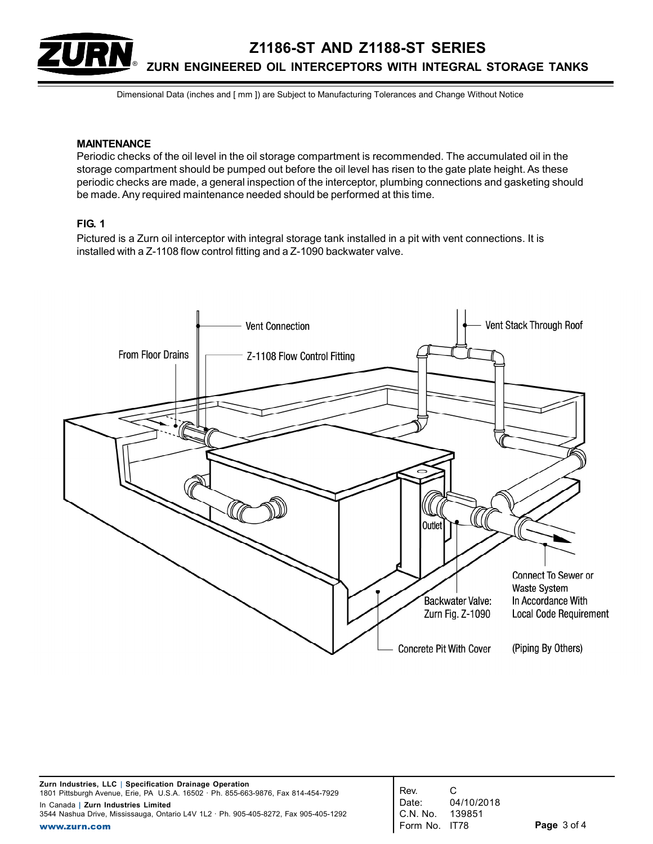Z1186-ST AND Z1188-ST SERIES ZURN ENGINEERED OIL INTERCEPTORS WITH INTEGRAL STORAGE TANKS ®

Dimensional Data (inches and [ mm ]) are Subject to Manufacturing Tolerances and Change Without Notice

### MAINTENANCE

Periodic checks of the oil level in the oil storage compartment is recommended. The accumulated oil in the storage compartment should be pumped out before the oil level has risen to the gate plate height. As these periodic checks are made, a general inspection of the interceptor, plumbing connections and gasketing should be made. Any required maintenance needed should be performed at this time.

## FIG. 1

Pictured is a Zurn oil interceptor with integral storage tank installed in a pit with vent connections. It is installed with a Z-1108 flow control fitting and a Z-1090 backwater valve.